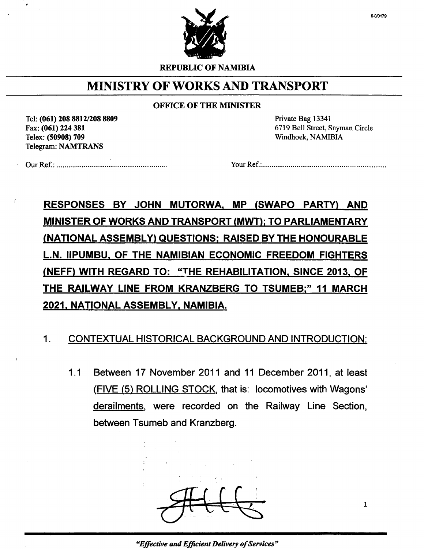

REPUBLIC OF NAMIBIA

### MINISTRY OF WORKS AND TRANSPORT

#### OFFICE OF THE MINISTER

Tel: (061) 208 *88121208 8809* Fax: (061) 224 381 Telex: (50908) 709 Telegram: NAMTRANS

Private Bag 13341 6719 Bell Street, Snyman Circle Windhoek, NAMIBIA

Our Ref.: . Your Ref.: .

RESPONSES BY JOHN MUTORWA. MP (SWAPO PARTY) AND MINISTER OF WORKS AND TRANSPORT (MWT); TO PARLIAMENTARY ,(NATIONAL ASSEMBLY) QUESTIONS; RAISED BY THE HONOURABLE L.N. IIPUMBU. OF THE NAMIBIAN ECONOMIC FREEDOM FIGHTERS (NEFF) WITH REGARD TO: "THE REHABILITATION, SINCE 2013, OF THE RAILWAV LINE FROM KRANZBERG TO TSUMEB;" 11 MARCH 2021, NATIONAL ASSEMBLY, NAMIBIA.

### 1. CONTEXTUAL HISTORICAL BACKGROUNDAND INTRODUCTION:

1.1 Between 17 November 2011 and 11 December 2011, at least (FIVE (5) ROLLING STOCK, that is: locomotives with Wagons' derailments, were recorded on the Railway Line Section, between Tsumeb and Kranzberg.

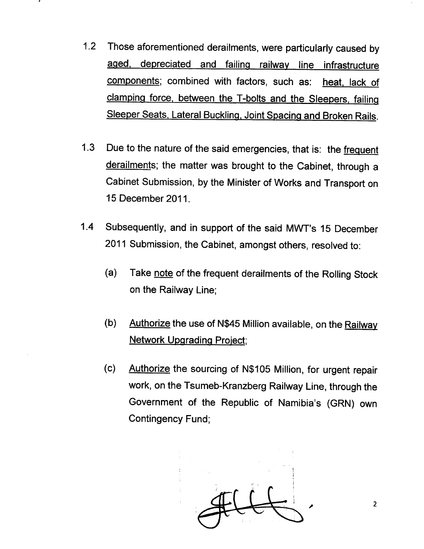- 1.2 Those aforementioned derailments, were particularly caused by aged. depreciated and failing railway line infrastructure components; combined with factors, such as: heat, lack of clamping force. between the T-bolts and the Sleepers. failing Sleeper Seats. Lateral Buckling. Joint Spacing and Broken Rails.
- 1.3 Due to the nature of the said emergencies, that is: the frequent derailments; the matter was brought to the Cabinet, through a Cabinet Submission, by the Minister of Works and Transport on 15 December 2011.
- 1.4 Subsequently; and in support of the said MWT's 15 December 2011 Submission, the Cabinet, amongst others, resolved to:
	- (a) Take note of the frequent derailments of the Rolling Stock on the Railway Line;
	- (b) Authorize the use of N\$45 Million available, on the Railway Network Upgrading Project;
	- (c) Authorize the sourcing of N\$105 Million, for urgent repair work, on the Tsumeb-Kranzberg Railway Line, through the Government of the Republic of Namibia's (GRN) own Contingency Fund;

 $\overbrace{\phantom{a}}^{a}$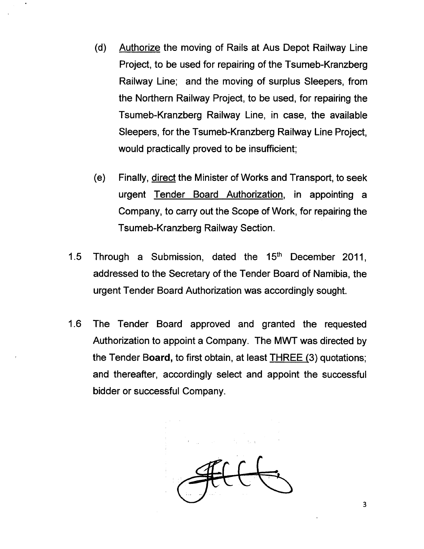- (d) Authorize the moving of Rails at Aus Depot Railway Line Project, to be used for repairing of the Tsumeb-Kranzberg Railway Line; and the moving of surplus Sleepers, from the Northern Railway Project, to be used, for repairing the Tsumeb-Kranzberg Railway Line, in case, the available Sleepers, for the Tsumeb-Kranzberg Railway Line Project, would practically proved to be insufficient;
- (e) Finally, direct the Minister of Works and Transport, to seek urgent Tender Board Authorization, in appointing a Company, to carry out the Scope of Work, for repairing the Tsumeb-Kranzberg Railway Section.
- 1.5 Through a Submission, dated the  $15<sup>th</sup>$  December 2011, addressed to the Secretary of the Tender Board of Namibia, the urgent Tender Board Authorization was accordingly sought.
- 1.6 The Tender Board approved and granted the requested Authorization to appoint a Company. The MWT was directed by the Tender Board, to first obtain, at least THREE (3) quotations; and thereafter, accordingly select and appoint the successful bidder or successful Company.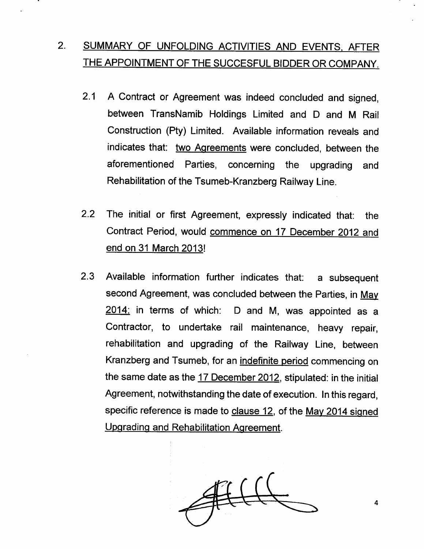## 2. SUMMARY OF UNFOLDING ACTIVITIES AND EVENTS, AFTER THE APPOINTMENT OF THE SUCCESFUL BIDDER OR COMPANY.

- 2.1 A Contract or Agreement was indeed concluded and signed. between TransNamib Holdings Limited and D and M Rail Construction (Pty) Limited. Available information reveals and indicates that: two Agreements were concluded, between the aforementioned Parties, concerning the upgrading and Rehabilitation of the Tsumeb-Kranzberg Railway Line.
- 2.2 The initial or first Agreement, expressly indicated that: the Contract Period, would commence on 17 December 2012 and end on 31 March 2013!
- 2.3 Available information further indicates that: a subsequent second Agreement, was concluded between the Parties, in May 2014; in terms of which: D and M, was appointed as a Contractor, to undertake rail maintenance, heavy repair, rehabilitation and upgrading of the Railway Line, between Kranzberg and Tsumeb, for an indefinite period commencing on the same date as the 17 December 2012, stipulated: in the initial Agreement, notwithstanding the date of execution. In this regard, specific reference is made to clause 12, of the May 2014 signed Upgrading and Rehabilitation Agreement.

4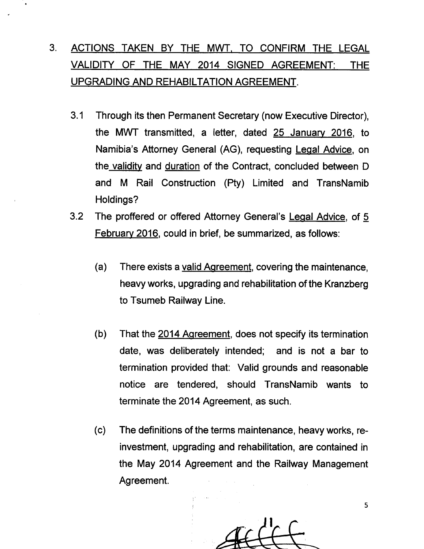# 3. ACTIONS TAKEN BY THE MWT. TO CONFIRM THE LEGAL VALIDITY OF THE MAY 2014 SIGNED AGREEMENT: THE UPGRADING AND REHABILTATION AGREEMENT.

- 3.1 Through its then Permanent Secretary (now Executive Director), the MWT transmitted, a letter, dated 25 January 2016, to Namibia's Attorney General (AG), requesting Legal Advice, on the validity and duration of the Contract, concluded between D and M Rail Construction (Pty) Limited and TransNamib Holdings?
- 3.2 The proffered or offered Attorney General's Legal Advice, of 5 February 2016, could in brief, be summarized, as follows:
	- (a) There exists a valid Agreement, covering the maintenance, heavy works, upgrading and rehabilitation of the Kranzberg to Tsumeb Railway Line.
	- (b) That the 2014 Agreement, does not specify its termination date, was deliberately intended; and is not a bar to termination provided that: Valid grounds and reasonable notice are tendered, should TransNamib wants to terminate the 2014 Agreement, as such.
	- (c) The definitions of the terms maintenance, heavy works, reinvestment, upgrading and rehabilitation, are contained in the May 2014 Agreement and the Railway Management Agreement.

5